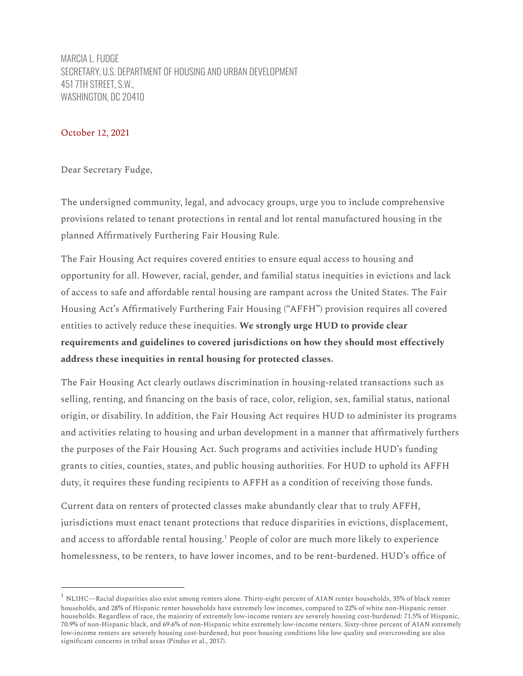MARCIA L. FUDGE SECRETARY, U.S. DEPARTMENT OF HOUSING AND URBAN DEVELOPMENT 451 7TH STREET, S.W., WASHINGTON, DC 20410

#### October 12, 2021

Dear Secretary Fudge,

The undersigned community, legal, and advocacy groups, urge you to include comprehensive provisions related to tenant protections in rental and lot rental manufactured housing in the planned Affirmatively Furthering Fair Housing Rule.

The Fair Housing Act requires covered entities to ensure equal access to housing and opportunity for all. However, racial, gender, and familial status inequities in evictions and lack of access to safe and affordable rental housing are rampant across the United States. The Fair Housing Act's Affirmatively Furthering Fair Housing ("AFFH") provision requires all covered entities to actively reduce these inequities. **We strongly urge HUD to provide clear requirements and guidelines to covered jurisdictions on how they should most effectively address these inequities in rental housing for protected classes.**

The Fair Housing Act clearly outlaws discrimination in housing-related transactions such as selling, renting, and financing on the basis of race, color, religion, sex, familial status, national origin, or disability. In addition, the Fair Housing Act requires HUD to administer its programs and activities relating to housing and urban development in a manner that affirmatively furthers the purposes of the Fair Housing Act. Such programs and activities include HUD's funding grants to cities, counties, states, and public housing authorities. For HUD to uphold its AFFH duty, it requires these funding recipients to AFFH as a condition of receiving those funds.

Current data on renters of protected classes make abundantly clear that to truly AFFH, jurisdictions must enact tenant protections that reduce disparities in evictions, displacement, and access to affordable rental housing.<sup>1</sup> People of color are much more likely to experience homelessness, to be renters, to have lower incomes, and to be rent-burdened. HUD's office of

 $^1$  NLIHC—Racial disparities also exist among renters alone. Thirty-eight percent of AIAN renter households, 35% of black renter households, and 28% of Hispanic renter households have extremely low incomes, compared to 22% of white non-Hispanic renter households. Regardless of race, the majority of extremely low-income renters are severely housing cost-burdened: 71.5% of Hispanic, 70.9% of non-Hispanic black, and 69.6% of non-Hispanic white extremely low-income renters. Sixty-three percent of AIAN extremely low-income renters are severely housing cost-burdened, but poor housing conditions like low quality and overcrowding are also significant concerns in tribal areas (Pindus et al., 2017).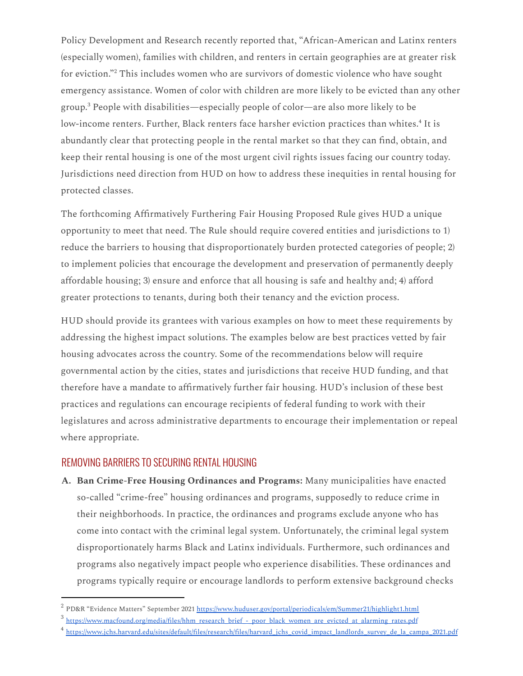Policy Development and Research recently reported that, "African-American and Latinx renters (especially women), families with children, and renters in certain geographies are at greater risk for eviction." $^{\rm 2}$  This includes women who are survivors of domestic violence who have sought emergency assistance. Women of color with children are more likely to be evicted than any other group. $^3$  People with disabilities—especially people of color—are also more likely to be low-income renters. Further, Black renters face harsher eviction practices than whites.<sup>4</sup> It is abundantly clear that protecting people in the rental market so that they can find, obtain, and keep their rental housing is one of the most urgent civil rights issues facing our country today. Jurisdictions need direction from HUD on how to address these inequities in rental housing for protected classes.

The forthcoming Affirmatively Furthering Fair Housing Proposed Rule gives HUD a unique opportunity to meet that need. The Rule should require covered entities and jurisdictions to 1) reduce the barriers to housing that disproportionately burden protected categories of people; 2) to implement policies that encourage the development and preservation of permanently deeply affordable housing; 3) ensure and enforce that all housing is safe and healthy and; 4) afford greater protections to tenants, during both their tenancy and the eviction process.

HUD should provide its grantees with various examples on how to meet these requirements by addressing the highest impact solutions. The examples below are best practices vetted by fair housing advocates across the country. Some of the recommendations below will require governmental action by the cities, states and jurisdictions that receive HUD funding, and that therefore have a mandate to affirmatively further fair housing. HUD's inclusion of these best practices and regulations can encourage recipients of federal funding to work with their legislatures and across administrative departments to encourage their implementation or repeal where appropriate.

#### REMOVING BARRIERS TO SECURING RENTAL HOUSING

**A. Ban Crime-Free Housing Ordinances and Programs:** Many municipalities have enacted so-called "crime-free" housing ordinances and programs, supposedly to reduce crime in their neighborhoods. In practice, the ordinances and programs exclude anyone who has come into contact with the criminal legal system. Unfortunately, the criminal legal system disproportionately harms Black and Latinx individuals. Furthermore, such ordinances and programs also negatively impact people who experience disabilities. These ordinances and programs typically require or encourage landlords to perform extensive background checks

<sup>&</sup>lt;sup>2</sup> PD&R "Evidence Matters" September 2021 <https://www.huduser.gov/portal/periodicals/em/Summer21/highlight1.html>

<sup>&</sup>lt;sup>3</sup> [https://www.macfound.org/media/files/hhm\\_research\\_brief\\_-\\_poor\\_black\\_women\\_are\\_evicted\\_at\\_alarming\\_rates.pdf](https://www.macfound.org/media/files/hhm_research_brief_-_poor_black_women_are_evicted_at_alarming_rates.pdf)

<sup>&</sup>lt;sup>4</sup> [https://www.jchs.harvard.edu/sites/default/files/research/files/harvard\\_jchs\\_covid\\_impact\\_landlords\\_survey\\_de\\_la\\_campa\\_2021.pdf](https://www.jchs.harvard.edu/sites/default/files/research/files/harvard_jchs_covid_impact_landlords_survey_de_la_campa_2021.pdf)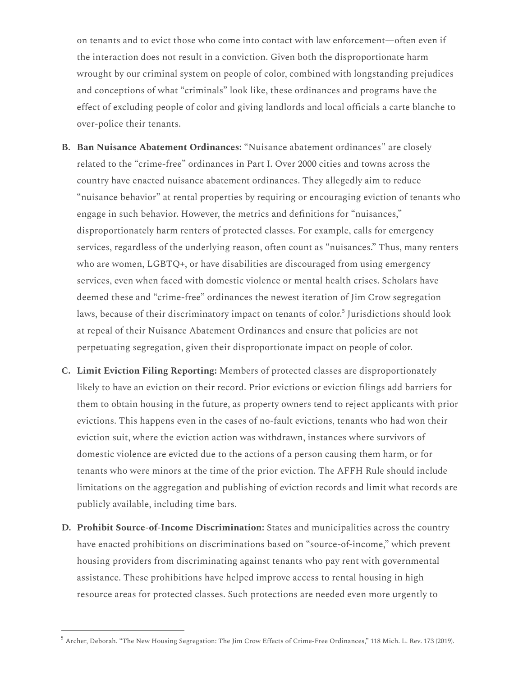on tenants and to evict those who come into contact with law enforcement—often even if the interaction does not result in a conviction. Given both the disproportionate harm wrought by our criminal system on people of color, combined with longstanding prejudices and conceptions of what "criminals" look like, these ordinances and programs have the effect of excluding people of color and giving landlords and local officials a carte blanche to over-police their tenants.

- **B. Ban Nuisance Abatement Ordinances:** "Nuisance abatement ordinances'' are closely related to the "crime-free" ordinances in Part I. Over 2000 cities and towns across the country have enacted nuisance abatement ordinances. They allegedly aim to reduce "nuisance behavior" at rental properties by requiring or encouraging eviction of tenants who engage in such behavior. However, the metrics and definitions for "nuisances," disproportionately harm renters of protected classes. For example, calls for emergency services, regardless of the underlying reason, often count as "nuisances." Thus, many renters who are women, LGBTQ+, or have disabilities are discouraged from using emergency services, even when faced with domestic violence or mental health crises. Scholars have deemed these and "crime-free" ordinances the newest iteration of Jim Crow segregation laws, because of their discriminatory impact on tenants of color.<sup>5</sup> Jurisdictions should look at repeal of their Nuisance Abatement Ordinances and ensure that policies are not perpetuating segregation, given their disproportionate impact on people of color.
- **C. Limit Eviction Filing Reporting:** Members of protected classes are disproportionately likely to have an eviction on their record. Prior evictions or eviction filings add barriers for them to obtain housing in the future, as property owners tend to reject applicants with prior evictions. This happens even in the cases of no-fault evictions, tenants who had won their eviction suit, where the eviction action was withdrawn, instances where survivors of domestic violence are evicted due to the actions of a person causing them harm, or for tenants who were minors at the time of the prior eviction. The AFFH Rule should include limitations on the aggregation and publishing of eviction records and limit what records are publicly available, including time bars.
- **D. Prohibit Source-of-Income Discrimination:** States and municipalities across the country have enacted prohibitions on discriminations based on "source-of-income," which prevent housing providers from discriminating against tenants who pay rent with governmental assistance. These prohibitions have helped improve access to rental housing in high resource areas for protected classes. Such protections are needed even more urgently to

 $^5$  Archer, Deborah. "The New Housing Segregation: The Jim Crow Effects of Crime-Free Ordinances," 118 Mich. L. Rev. 173 (2019).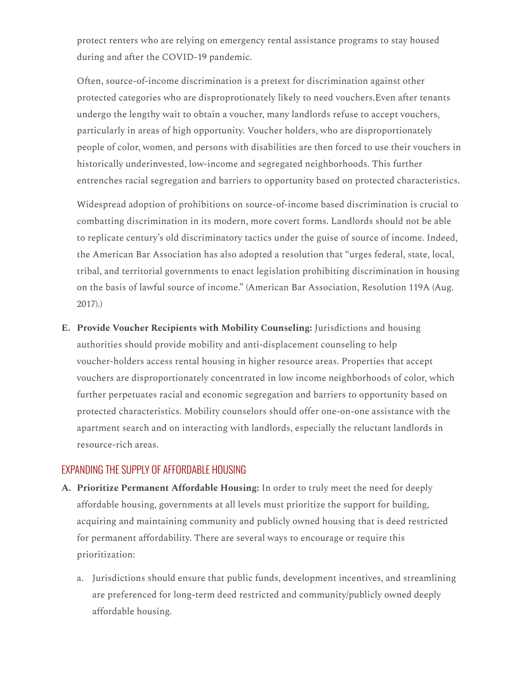protect renters who are relying on emergency rental assistance programs to stay housed during and after the COVID-19 pandemic.

Often, source-of-income discrimination is a pretext for discrimination against other protected categories who are disproprotionately likely to need vouchers.Even after tenants undergo the lengthy wait to obtain a voucher, many landlords refuse to accept vouchers, particularly in areas of high opportunity. Voucher holders, who are disproportionately people of color, women, and persons with disabilities are then forced to use their vouchers in historically underinvested, low-income and segregated neighborhoods. This further entrenches racial segregation and barriers to opportunity based on protected characteristics.

Widespread adoption of prohibitions on source-of-income based discrimination is crucial to combatting discrimination in its modern, more covert forms. Landlords should not be able to replicate century's old discriminatory tactics under the guise of source of income. Indeed, the American Bar Association has also adopted a resolution that "urges federal, state, local, tribal, and territorial governments to enact legislation prohibiting discrimination in housing on the basis of lawful source of income." (American Bar Association, Resolution 119A (Aug. 2017).)

**E. Provide Voucher Recipients with Mobility Counseling:** Jurisdictions and housing authorities should provide mobility and anti-displacement counseling to help voucher-holders access rental housing in higher resource areas. Properties that accept vouchers are disproportionately concentrated in low income neighborhoods of color, which further perpetuates racial and economic segregation and barriers to opportunity based on protected characteristics. Mobility counselors should offer one-on-one assistance with the apartment search and on interacting with landlords, especially the reluctant landlords in resource-rich areas.

## EXPANDING THE SUPPLY OF AFFORDABLE HOUSING

- **A. Prioritize Permanent Affordable Housing:** In order to truly meet the need for deeply affordable housing, governments at all levels must prioritize the support for building, acquiring and maintaining community and publicly owned housing that is deed restricted for permanent affordability. There are several ways to encourage or require this prioritization:
	- a. Jurisdictions should ensure that public funds, development incentives, and streamlining are preferenced for long-term deed restricted and community/publicly owned deeply affordable housing.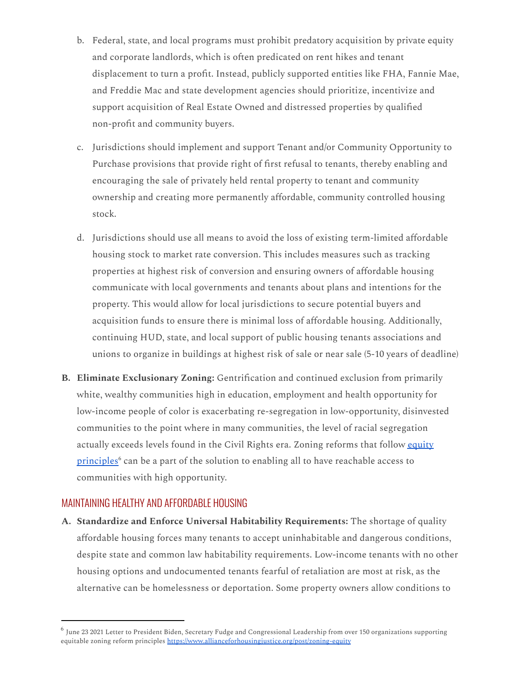- b. Federal, state, and local programs must prohibit predatory acquisition by private equity and corporate landlords, which is often predicated on rent hikes and tenant displacement to turn a profit. Instead, publicly supported entities like FHA, Fannie Mae, and Freddie Mac and state development agencies should prioritize, incentivize and support acquisition of Real Estate Owned and distressed properties by qualified non-profit and community buyers.
- c. Jurisdictions should implement and support Tenant and/or Community Opportunity to Purchase provisions that provide right of first refusal to tenants, thereby enabling and encouraging the sale of privately held rental property to tenant and community ownership and creating more permanently affordable, community controlled housing stock.
- d. Jurisdictions should use all means to avoid the loss of existing term-limited affordable housing stock to market rate conversion. This includes measures such as tracking properties at highest risk of conversion and ensuring owners of affordable housing communicate with local governments and tenants about plans and intentions for the property. This would allow for local jurisdictions to secure potential buyers and acquisition funds to ensure there is minimal loss of affordable housing. Additionally, continuing HUD, state, and local support of public housing tenants associations and unions to organize in buildings at highest risk of sale or near sale (5-10 years of deadline)
- **B. Eliminate Exclusionary Zoning:** Gentrification and continued exclusion from primarily white, wealthy communities high in education, employment and health opportunity for low-income people of color is exacerbating re-segregation in low-opportunity, disinvested communities to the point where in many communities, the level of racial segregation actually exceeds levels found in the Civil Rights era. Zoning reforms that follow [equity](https://www.allianceforhousingjustice.org/post/zoning-equity) [principles](https://www.allianceforhousingjustice.org/post/zoning-equity)<sup>6</sup> can be a part of the solution to enabling all to have reachable access to communities with high opportunity.

## MAINTAINING HEALTHY AND AFFORDABLE HOUSING

**A. Standardize and Enforce Universal Habitability Requirements:** The shortage of quality affordable housing forces many tenants to accept uninhabitable and dangerous conditions, despite state and common law habitability requirements. Low-income tenants with no other housing options and undocumented tenants fearful of retaliation are most at risk, as the alternative can be homelessness or deportation. Some property owners allow conditions to

 $^6$  June 23 2021 Letter to President Biden, Secretary Fudge and Congressional Leadership from over 150 organizations supporting equitable zoning reform principles <https://www.allianceforhousingjustice.org/post/zoning-equity>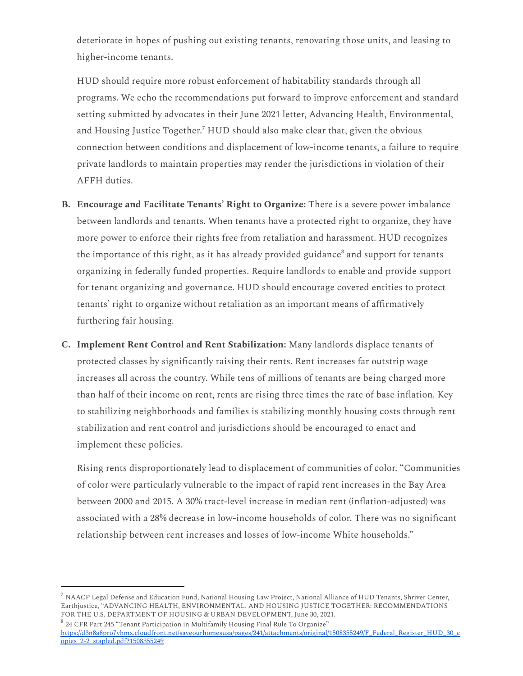deteriorate in hopes of pushing out existing tenants, renovating those units, and leasing to higher-income tenants.

HUD should require more robust enforcement of habitability standards through all programs. We echo the recommendations put forward to improve enforcement and standard setting submitted by advocates in their June 2021 letter, Advancing Health, Environmental, and Housing Justice Together.<sup>7</sup> HUD should also make clear that, given the obvious connection between conditions and displacement of low-income tenants, a failure to require private landlords to maintain properties may render the jurisdictions in violation of their AFFH duties.

- **B. Encourage and Facilitate Tenants' Right to Organize:** There is a severe power imbalance between landlords and tenants. When tenants have a protected right to organize, they have more power to enforce their rights free from retaliation and harassment. HUD recognizes the importance of this right, as it has already provided guidance<sup>8</sup> and support for tenants organizing in federally funded properties. Require landlords to enable and provide support for tenant organizing and governance. HUD should encourage covered entities to protect tenants' right to organize without retaliation as an important means of affirmatively furthering fair housing.
- **C. Implement Rent Control and Rent Stabilization:** Many landlords displace tenants of protected classes by significantly raising their rents. Rent increases far outstrip wage increases all across the country. While tens of millions of tenants are being charged more than half of their income on rent, rents are rising three times the rate of base inflation. Key to stabilizing neighborhoods and families is stabilizing monthly housing costs through rent stabilization and rent control and jurisdictions should be encouraged to enact and implement these policies.

Rising rents disproportionately lead to displacement of communities of color. "Communities of color were particularly vulnerable to the impact of rapid rent increases in the Bay Area between 2000 and 2015. A 30% tract-level increase in median rent (inflation-adjusted) was associated with a 28% decrease in low-income households of color. There was no significant relationship between rent increases and losses of low-income White households."

 $^7$  NAACP Legal Defense and Education Fund, National Housing Law Project, National Alliance of HUD Tenants, Shriver Center, Earthjustice, "ADVANCING HEALTH, ENVIRONMENTAL, AND HOUSING JUSTICE TOGETHER: RECOMMENDATIONS FOR THE U.S. DEPARTMENT OF HOUSING & URBAN DEVELOPMENT, June 30, 2021.

 $8$  24 CFR Part 245 "Tenant Participation in Multifamily Housing Final Rule To Organize" [https://d3n8a8pro7vhmx.cloudfront.net/saveourhomesusa/pages/241/attachments/original/1508355249/F\\_Federal\\_Register\\_HUD\\_30\\_c](https://d3n8a8pro7vhmx.cloudfront.net/saveourhomesusa/pages/241/attachments/original/1508355249/F_Federal_Register_HUD_30_copies_2-2_stapled.pdf?1508355249) [opies\\_2-2\\_stapled.pdf?1508355249](https://d3n8a8pro7vhmx.cloudfront.net/saveourhomesusa/pages/241/attachments/original/1508355249/F_Federal_Register_HUD_30_copies_2-2_stapled.pdf?1508355249)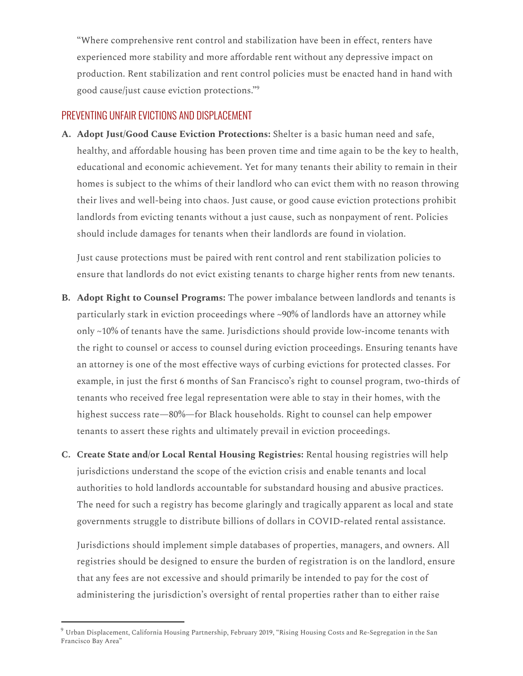"Where comprehensive rent control and stabilization have been in effect, renters have experienced more stability and more affordable rent without any depressive impact on production. Rent stabilization and rent control policies must be enacted hand in hand with good cause/just cause eviction protections." 9

# PREVENTING UNFAIR EVICTIONS AND DISPLACEMENT

**A. Adopt Just/Good Cause Eviction Protections:** Shelter is a basic human need and safe, healthy, and affordable housing has been proven time and time again to be the key to health, educational and economic achievement. Yet for many tenants their ability to remain in their homes is subject to the whims of their landlord who can evict them with no reason throwing their lives and well-being into chaos. Just cause, or good cause eviction protections prohibit landlords from evicting tenants without a just cause, such as nonpayment of rent. Policies should include damages for tenants when their landlords are found in violation.

Just cause protections must be paired with rent control and rent stabilization policies to ensure that landlords do not evict existing tenants to charge higher rents from new tenants.

- **B. Adopt Right to Counsel Programs:** The power imbalance between landlords and tenants is particularly stark in eviction proceedings where ~90% of landlords have an attorney while only ~10% of tenants have the same. Jurisdictions should provide low-income tenants with the right to counsel or access to counsel during eviction proceedings. Ensuring tenants have an attorney is one of the most effective ways of curbing evictions for protected classes. For example, in just the first 6 months of San Francisco's right to counsel program, two-thirds of tenants who received free legal representation were able to stay in their homes, with the highest success rate—80%—for Black households. Right to counsel can help empower tenants to assert these rights and ultimately prevail in eviction proceedings.
- **C. Create State and/or Local Rental Housing Registries:** Rental housing registries will help jurisdictions understand the scope of the eviction crisis and enable tenants and local authorities to hold landlords accountable for substandard housing and abusive practices. The need for such a registry has become glaringly and tragically apparent as local and state governments struggle to distribute billions of dollars in COVID-related rental assistance.

Jurisdictions should implement simple databases of properties, managers, and owners. All registries should be designed to ensure the burden of registration is on the landlord, ensure that any fees are not excessive and should primarily be intended to pay for the cost of administering the jurisdiction's oversight of rental properties rather than to either raise

 $^9$  Urban Displacement, California Housing Partnership, February 2019, "Rising Housing Costs and Re-Segregation in the San Francisco Bay Area"